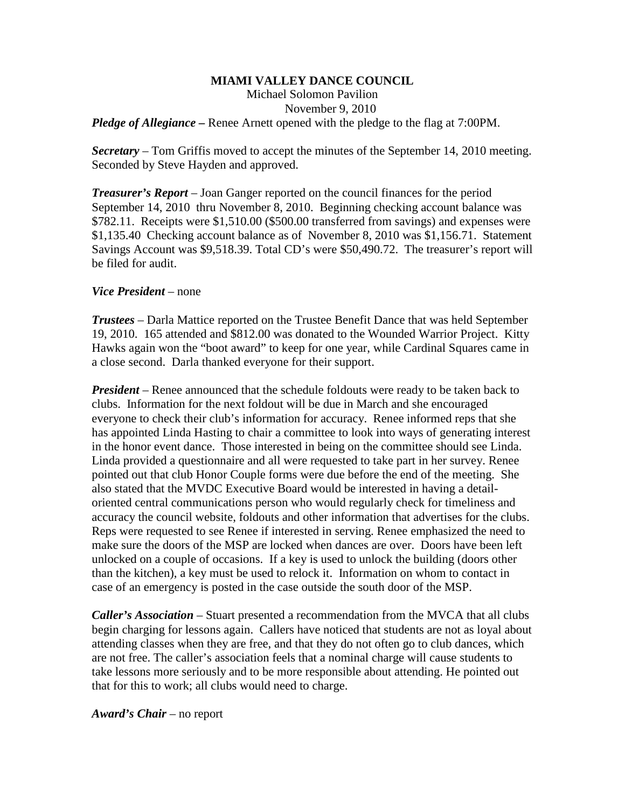## **MIAMI VALLEY DANCE COUNCIL**

Michael Solomon Pavilion November 9, 2010

*Pledge of Allegiance* – Renee Arnett opened with the pledge to the flag at 7:00PM.

*Secretary –* Tom Griffis moved to accept the minutes of the September 14, 2010 meeting. Seconded by Steve Hayden and approved.

*Treasurer's Report* – Joan Ganger reported on the council finances for the period September 14, 2010 thru November 8, 2010. Beginning checking account balance was \$782.11. Receipts were \$1,510.00 (\$500.00 transferred from savings) and expenses were \$1,135.40 Checking account balance as of November 8, 2010 was \$1,156.71. Statement Savings Account was \$9,518.39. Total CD's were \$50,490.72. The treasurer's report will be filed for audit.

## *Vice President* – none

*Trustees* – Darla Mattice reported on the Trustee Benefit Dance that was held September 19, 2010. 165 attended and \$812.00 was donated to the Wounded Warrior Project. Kitty Hawks again won the "boot award" to keep for one year, while Cardinal Squares came in a close second. Darla thanked everyone for their support.

*President* – Renee announced that the schedule foldouts were ready to be taken back to clubs. Information for the next foldout will be due in March and she encouraged everyone to check their club's information for accuracy. Renee informed reps that she has appointed Linda Hasting to chair a committee to look into ways of generating interest in the honor event dance. Those interested in being on the committee should see Linda. Linda provided a questionnaire and all were requested to take part in her survey. Renee pointed out that club Honor Couple forms were due before the end of the meeting. She also stated that the MVDC Executive Board would be interested in having a detailoriented central communications person who would regularly check for timeliness and accuracy the council website, foldouts and other information that advertises for the clubs. Reps were requested to see Renee if interested in serving. Renee emphasized the need to make sure the doors of the MSP are locked when dances are over. Doors have been left unlocked on a couple of occasions. If a key is used to unlock the building (doors other than the kitchen), a key must be used to relock it. Information on whom to contact in case of an emergency is posted in the case outside the south door of the MSP.

*Caller's Association* – Stuart presented a recommendation from the MVCA that all clubs begin charging for lessons again. Callers have noticed that students are not as loyal about attending classes when they are free, and that they do not often go to club dances, which are not free. The caller's association feels that a nominal charge will cause students to take lessons more seriously and to be more responsible about attending. He pointed out that for this to work; all clubs would need to charge.

*Award's Chair* – no report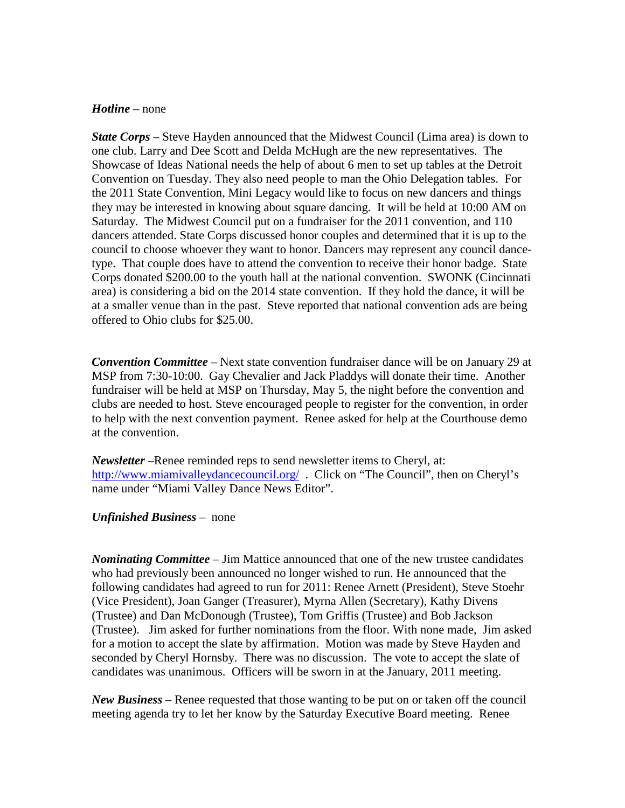## *Hotline* – none

*State Corps* – Steve Hayden announced that the Midwest Council (Lima area) is down to one club. Larry and Dee Scott and Delda McHugh are the new representatives. The Showcase of Ideas National needs the help of about 6 men to set up tables at the Detroit Convention on Tuesday. They also need people to man the Ohio Delegation tables. For the 2011 State Convention, Mini Legacy would like to focus on new dancers and things they may be interested in knowing about square dancing. It will be held at 10:00 AM on Saturday. The Midwest Council put on a fundraiser for the 2011 convention, and 110 dancers attended. State Corps discussed honor couples and determined that it is up to the council to choose whoever they want to honor. Dancers may represent any council dancetype. That couple does have to attend the convention to receive their honor badge. State Corps donated \$200.00 to the youth hall at the national convention. SWONK (Cincinnati area) is considering a bid on the 2014 state convention. If they hold the dance, it will be at a smaller venue than in the past. Steve reported that national convention ads are being offered to Ohio clubs for \$25.00.

*Convention Committee* – Next state convention fundraiser dance will be on January 29 at MSP from 7:30-10:00. Gay Chevalier and Jack Pladdys will donate their time. Another fundraiser will be held at MSP on Thursday, May 5, the night before the convention and clubs are needed to host. Steve encouraged people to register for the convention, in order to help with the next convention payment. Renee asked for help at the Courthouse demo at the convention.

*Newsletter* –Renee reminded reps to send newsletter items to Cheryl, at: <http://www.miamivalleydancecouncil.org/>. Click on "The Council", then on Cheryl's name under "Miami Valley Dance News Editor".

## *Unfinished Business* – none

*Nominating Committee* – Jim Mattice announced that one of the new trustee candidates who had previously been announced no longer wished to run. He announced that the following candidates had agreed to run for 2011: Renee Arnett (President), Steve Stoehr (Vice President), Joan Ganger (Treasurer), Myrna Allen (Secretary), Kathy Divens (Trustee) and Dan McDonough (Trustee), Tom Griffis (Trustee) and Bob Jackson (Trustee). Jim asked for further nominations from the floor. With none made, Jim asked for a motion to accept the slate by affirmation. Motion was made by Steve Hayden and seconded by Cheryl Hornsby. There was no discussion. The vote to accept the slate of candidates was unanimous. Officers will be sworn in at the January, 2011 meeting.

*New Business –* Renee requested that those wanting to be put on or taken off the council meeting agenda try to let her know by the Saturday Executive Board meeting. Renee